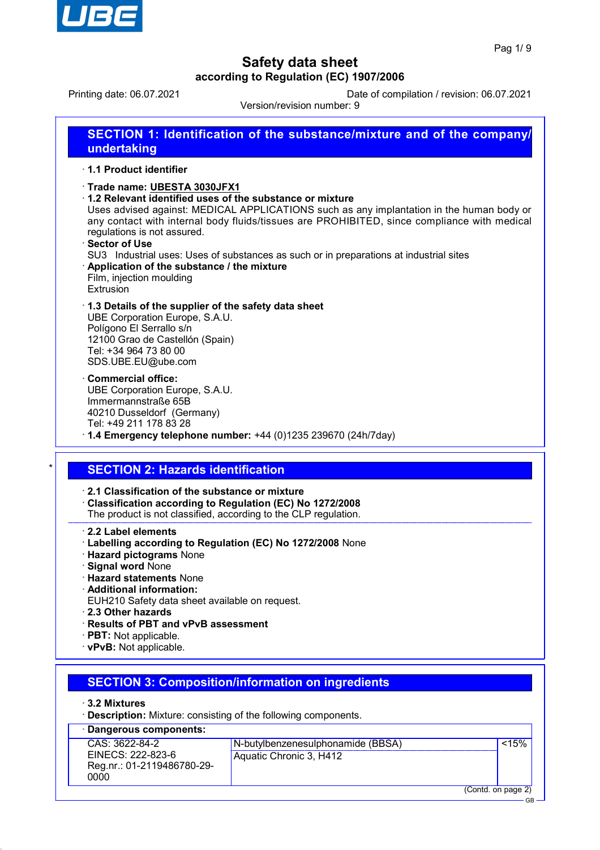

GB

## **Safety data sheet according to Regulation (EC) 1907/2006**

Printing date: 06.07.2021 Date of compilation / revision: 06.07.2021

Version/revision number: 9

| undertaking                                                                                                                                                          | <b>SECTION 1: Identification of the substance/mixture and of the company/</b>                                                                                                                                                                                                                                                                 |
|----------------------------------------------------------------------------------------------------------------------------------------------------------------------|-----------------------------------------------------------------------------------------------------------------------------------------------------------------------------------------------------------------------------------------------------------------------------------------------------------------------------------------------|
| 1.1 Product identifier                                                                                                                                               |                                                                                                                                                                                                                                                                                                                                               |
| Trade name: UBESTA 3030JFX1<br>regulations is not assured.<br>· Sector of Use<br>Application of the substance / the mixture<br>Film, injection moulding<br>Extrusion | 1.2 Relevant identified uses of the substance or mixture<br>Uses advised against: MEDICAL APPLICATIONS such as any implantation in the human body or<br>any contact with internal body fluids/tissues are PROHIBITED, since compliance with medical<br>SU3 Industrial uses: Uses of substances as such or in preparations at industrial sites |
| UBE Corporation Europe, S.A.U.<br>Polígono El Serrallo s/n<br>12100 Grao de Castellón (Spain)<br>Tel: +34 964 73 80 00<br>SDS.UBE.EU@ube.com                         | 1.3 Details of the supplier of the safety data sheet                                                                                                                                                                                                                                                                                          |
| <b>Commercial office:</b><br>UBE Corporation Europe, S.A.U.<br>Immermannstraße 65B<br>40210 Dusseldorf (Germany)<br>Tel: +49 211 178 83 28                           | $\cdot$ 1.4 Emergency telephone number: +44 (0)1235 239670 (24h/7day)                                                                                                                                                                                                                                                                         |
| <b>SECTION 2: Hazards identification</b>                                                                                                                             |                                                                                                                                                                                                                                                                                                                                               |
| $\cdot$ 2.1 Classification of the substance or mixture                                                                                                               | Classification according to Regulation (EC) No 1272/2008<br>The product is not classified, according to the CLP regulation.                                                                                                                                                                                                                   |
| 2.2 Label elements<br><b>Hazard pictograms None</b><br>· Signal word None                                                                                            | · Labelling according to Regulation (EC) No 1272/2008 None                                                                                                                                                                                                                                                                                    |

- · **Hazard statements** None
- · **Additional information:**
- EUH210 Safety data sheet available on request.
- · **2.3 Other hazards**
- · **Results of PBT and vPvB assessment**
- · **PBT:** Not applicable.
- · **vPvB:** Not applicable.

## **SECTION 3: Composition/information on ingredients**

- · **3.2 Mixtures**
- · **Description:** Mixture: consisting of the following components.

| · Dangerous components:                                 |                                   |                    |       |
|---------------------------------------------------------|-----------------------------------|--------------------|-------|
| CAS: 3622-84-2                                          | N-butylbenzenesulphonamide (BBSA) |                    | < 15% |
| EINECS: 222-823-6<br>Reg.nr.: 01-2119486780-29-<br>0000 | Aquatic Chronic 3, H412           |                    |       |
|                                                         |                                   | (Contd. on page 2) |       |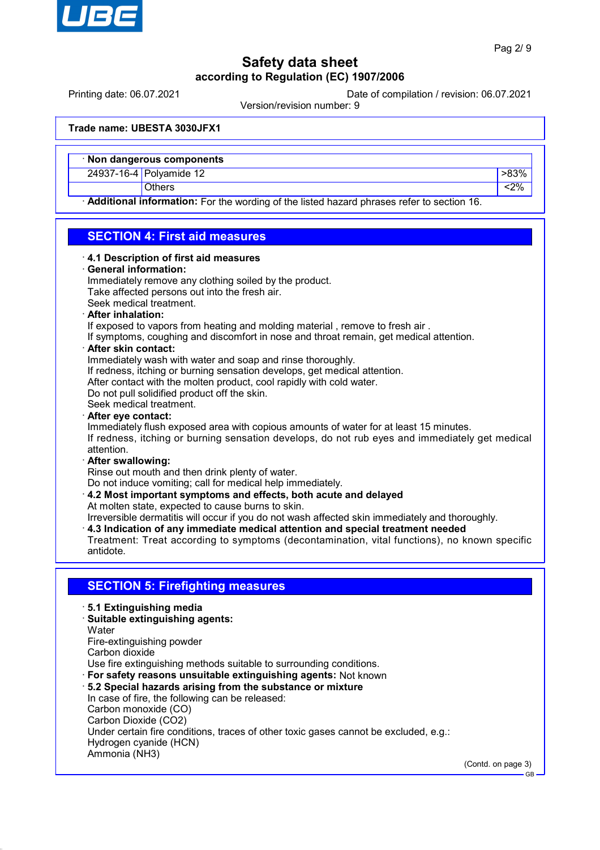

Printing date: 06.07.2021 Date of compilation / revision: 06.07.2021

Version/revision number: 9

**Trade name: UBESTA 3030JFX1**

| · Non dangerous components |      |
|----------------------------|------|
| 24937-16-4 Polyamide 12    | -83% |
| Others                     | 2%   |

· **Additional information:** For the wording of the listed hazard phrases refer to section 16.

### **SECTION 4: First aid measures**

#### · **4.1 Description of first aid measures**

#### · **General information:**

Immediately remove any clothing soiled by the product. Take affected persons out into the fresh air. Seek medical treatment. · **After inhalation:**

If exposed to vapors from heating and molding material , remove to fresh air .

If symptoms, coughing and discomfort in nose and throat remain, get medical attention.

### · **After skin contact:**

Immediately wash with water and soap and rinse thoroughly.

If redness, itching or burning sensation develops, get medical attention.

After contact with the molten product, cool rapidly with cold water.

Do not pull solidified product off the skin.

Seek medical treatment.

· **After eye contact:**

Immediately flush exposed area with copious amounts of water for at least 15 minutes. If redness, itching or burning sensation develops, do not rub eyes and immediately get medical attention.

#### · **After swallowing:** Rinse out mouth and then drink plenty of water.

Do not induce vomiting; call for medical help immediately.

· **4.2 Most important symptoms and effects, both acute and delayed** At molten state, expected to cause burns to skin.

Irreversible dermatitis will occur if you do not wash affected skin immediately and thoroughly.

· **4.3 Indication of any immediate medical attention and special treatment needed**

Treatment: Treat according to symptoms (decontamination, vital functions), no known specific antidote.

## **SECTION 5: Firefighting measures**

- · **5.1 Extinguishing media**
- · **Suitable extinguishing agents:**
- **Water**
- Fire-extinguishing powder
- Carbon dioxide

Use fire extinguishing methods suitable to surrounding conditions.

- · **For safety reasons unsuitable extinguishing agents:** Not known
- · **5.2 Special hazards arising from the substance or mixture** In case of fire, the following can be released: Carbon monoxide (CO) Carbon Dioxide (CO2) Under certain fire conditions, traces of other toxic gases cannot be excluded, e.g.:
- Hydrogen cyanide (HCN)

Ammonia (NH3)

(Contd. on page 3)

GB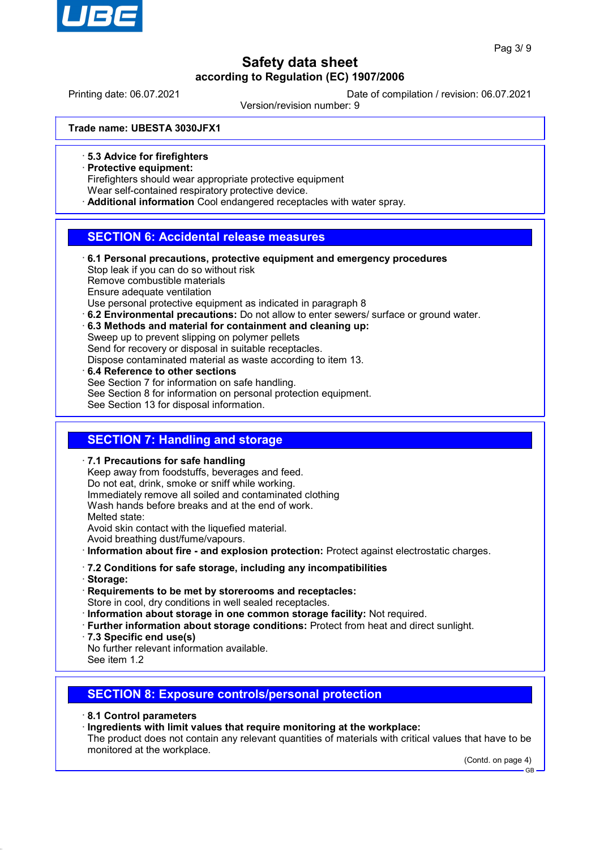

Printing date: 06.07.2021 Date of compilation / revision: 06.07.2021

Version/revision number: 9

**Trade name: UBESTA 3030JFX1**

· **5.3 Advice for firefighters**

· **Protective equipment:**

Firefighters should wear appropriate protective equipment

Wear self-contained respiratory protective device.

· **Additional information** Cool endangered receptacles with water spray.

### **SECTION 6: Accidental release measures**

- · **6.1 Personal precautions, protective equipment and emergency procedures** Stop leak if you can do so without risk Remove combustible materials Ensure adequate ventilation Use personal protective equipment as indicated in paragraph 8
- · **6.2 Environmental precautions:** Do not allow to enter sewers/ surface or ground water.
- · **6.3 Methods and material for containment and cleaning up:**

Sweep up to prevent slipping on polymer pellets Send for recovery or disposal in suitable receptacles. Dispose contaminated material as waste according to item 13.

· **6.4 Reference to other sections** See Section 7 for information on safe handling. See Section 8 for information on personal protection equipment. See Section 13 for disposal information.

## **SECTION 7: Handling and storage**

· **7.1 Precautions for safe handling** Keep away from foodstuffs, beverages and feed. Do not eat, drink, smoke or sniff while working. Immediately remove all soiled and contaminated clothing Wash hands before breaks and at the end of work. Melted state: Avoid skin contact with the liquefied material. Avoid breathing dust/fume/vapours.

· **Information about fire - and explosion protection:** Protect against electrostatic charges.

### · **7.2 Conditions for safe storage, including any incompatibilities**

· **Storage:**

· **Requirements to be met by storerooms and receptacles:**

Store in cool, dry conditions in well sealed receptacles.

- · **Information about storage in one common storage facility:** Not required.
- · **Further information about storage conditions:** Protect from heat and direct sunlight.
- · **7.3 Specific end use(s)**
- No further relevant information available.

See item 1.2

## **SECTION 8: Exposure controls/personal protection**

- · **8.1 Control parameters**
- · **Ingredients with limit values that require monitoring at the workplace:** The product does not contain any relevant quantities of materials with critical values that have to be monitored at the workplace.

(Contd. on page 4) GB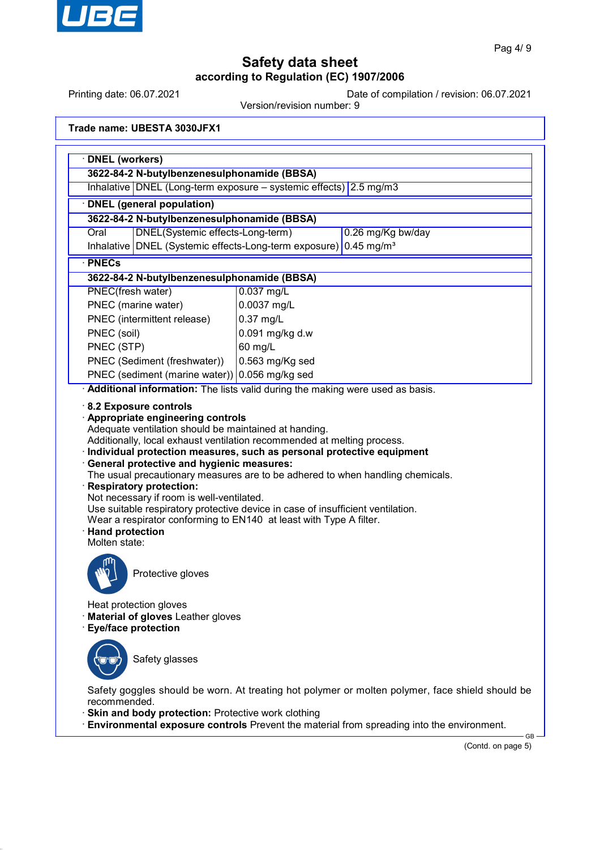

Printing date: 06.07.2021 Date of compilation / revision: 06.07.2021

Version/revision number: 9

**Trade name: UBESTA 3030JFX1**

| Inhalative DNEL (Long-term exposure - systemic effects) 2.5 mg/m3                                                                                           |                                                                                                                                                                                                                                         |  |  |  |
|-------------------------------------------------------------------------------------------------------------------------------------------------------------|-----------------------------------------------------------------------------------------------------------------------------------------------------------------------------------------------------------------------------------------|--|--|--|
| · DNEL (general population)                                                                                                                                 |                                                                                                                                                                                                                                         |  |  |  |
| 3622-84-2 N-butylbenzenesulphonamide (BBSA)                                                                                                                 |                                                                                                                                                                                                                                         |  |  |  |
| DNEL(Systemic effects-Long-term)<br>0.26 mg/Kg bw/day<br>Oral                                                                                               |                                                                                                                                                                                                                                         |  |  |  |
| $0.45$ mg/m <sup>3</sup><br>Inhalative DNEL (Systemic effects-Long-term exposure)                                                                           |                                                                                                                                                                                                                                         |  |  |  |
| · PNECs                                                                                                                                                     |                                                                                                                                                                                                                                         |  |  |  |
| 3622-84-2 N-butylbenzenesulphonamide (BBSA)                                                                                                                 |                                                                                                                                                                                                                                         |  |  |  |
| PNEC(fresh water)                                                                                                                                           | $0.037$ mg/L                                                                                                                                                                                                                            |  |  |  |
| PNEC (marine water)                                                                                                                                         | 0.0037 mg/L                                                                                                                                                                                                                             |  |  |  |
| PNEC (intermittent release)                                                                                                                                 | 0.37 mg/L                                                                                                                                                                                                                               |  |  |  |
| PNEC (soil)                                                                                                                                                 | 0.091 mg/kg d.w                                                                                                                                                                                                                         |  |  |  |
| PNEC (STP)                                                                                                                                                  | 60 mg/L                                                                                                                                                                                                                                 |  |  |  |
| PNEC (Sediment (freshwater))                                                                                                                                | 0.563 mg/Kg sed                                                                                                                                                                                                                         |  |  |  |
| PNEC (sediment (marine water)) 0.056 mg/kg sed                                                                                                              | Additional information: The lists valid during the making were used as basis.                                                                                                                                                           |  |  |  |
| Adequate ventilation should be maintained at handing.                                                                                                       | Additionally, local exhaust ventilation recommended at melting process.<br>· Individual protection measures, such as personal protective equipment                                                                                      |  |  |  |
| · General protective and hygienic measures:<br>· Respiratory protection:<br>Not necessary if room is well-ventilated.<br>· Hand protection<br>Molten state: | The usual precautionary measures are to be adhered to when handling chemicals.<br>Use suitable respiratory protective device in case of insufficient ventilation.<br>Wear a respirator conforming to EN140 at least with Type A filter. |  |  |  |
| Protective gloves                                                                                                                                           |                                                                                                                                                                                                                                         |  |  |  |
| Heat protection gloves<br>Material of gloves Leather gloves<br><b>Eye/face protection</b>                                                                   |                                                                                                                                                                                                                                         |  |  |  |
| Safety glasses                                                                                                                                              |                                                                                                                                                                                                                                         |  |  |  |

· **Environmental exposure controls** Prevent the material from spreading into the environment.

(Contd. on page 5)

 $-$ GB $-$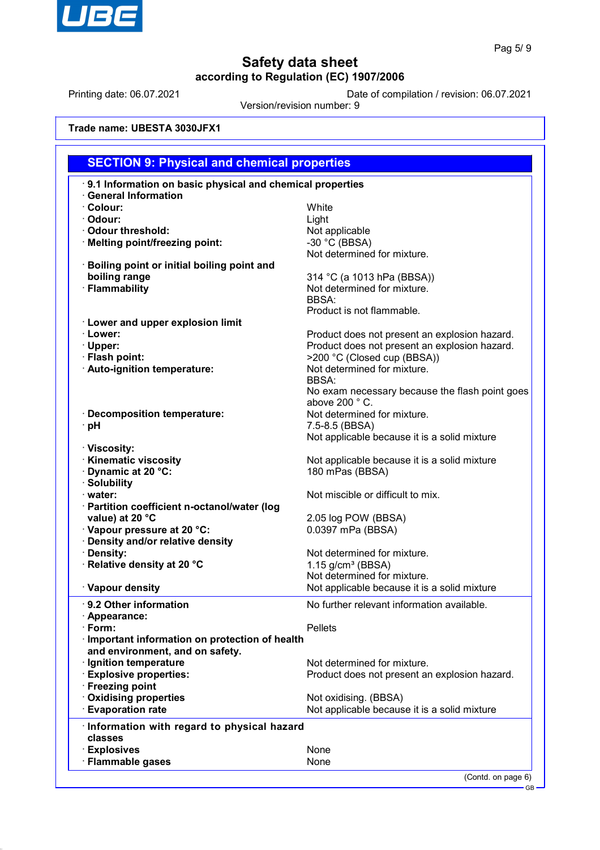

Printing date: 06.07.2021 Date of compilation / revision: 06.07.2021

Version/revision number: 9

**Trade name: UBESTA 3030JFX1**

| <b>SECTION 9: Physical and chemical properties</b>        |                                                |  |
|-----------------------------------------------------------|------------------------------------------------|--|
| 9.1 Information on basic physical and chemical properties |                                                |  |
| <b>General Information</b>                                |                                                |  |
| · Colour:                                                 | <b>White</b>                                   |  |
| · Odour:                                                  | Light                                          |  |
| Odour threshold:                                          | Not applicable                                 |  |
| · Melting point/freezing point:                           | $-30$ °C (BBSA)                                |  |
|                                                           | Not determined for mixture.                    |  |
| <b>Boiling point or initial boiling point and</b>         |                                                |  |
| boiling range                                             | 314 °C (a 1013 hPa (BBSA))                     |  |
| · Flammability                                            | Not determined for mixture.                    |  |
|                                                           | BBSA:                                          |  |
|                                                           | Product is not flammable.                      |  |
| <b>Lower and upper explosion limit</b>                    |                                                |  |
| · Lower:                                                  | Product does not present an explosion hazard.  |  |
| · Upper:                                                  | Product does not present an explosion hazard.  |  |
| · Flash point:                                            | >200 °C (Closed cup (BBSA))                    |  |
| · Auto-ignition temperature:                              | Not determined for mixture.                    |  |
|                                                           | <b>BBSA:</b>                                   |  |
|                                                           | No exam necessary because the flash point goes |  |
|                                                           | above 200 °C.                                  |  |
| <b>Decomposition temperature:</b>                         | Not determined for mixture.                    |  |
| ∙ pH                                                      | 7.5-8.5 (BBSA)                                 |  |
|                                                           | Not applicable because it is a solid mixture   |  |
| · Viscosity:                                              |                                                |  |
| · Kinematic viscosity                                     | Not applicable because it is a solid mixture   |  |
| Dynamic at 20 °C:                                         | 180 mPas (BBSA)                                |  |
| · Solubility                                              |                                                |  |
| · water:                                                  | Not miscible or difficult to mix.              |  |
| · Partition coefficient n-octanol/water (log              |                                                |  |
| value) at 20 °C<br>Vapour pressure at 20 °C:              | 2.05 log POW (BBSA)<br>0.0397 mPa (BBSA)       |  |
| Density and/or relative density                           |                                                |  |
| Density:                                                  | Not determined for mixture.                    |  |
| · Relative density at 20 °C                               | 1.15 $g/cm3$ (BBSA)                            |  |
|                                                           | Not determined for mixture.                    |  |
| · Vapour density                                          | Not applicable because it is a solid mixture   |  |
|                                                           |                                                |  |
| 9.2 Other information                                     | No further relevant information available.     |  |
| · Appearance:                                             |                                                |  |
| · Form:                                                   | <b>Pellets</b>                                 |  |
| Important information on protection of health             |                                                |  |
| and environment, and on safety.                           |                                                |  |
| · Ignition temperature                                    | Not determined for mixture.                    |  |
| <b>Explosive properties:</b>                              | Product does not present an explosion hazard.  |  |
| <b>Freezing point</b>                                     | Not oxidising. (BBSA)                          |  |
| <b>Oxidising properties</b><br><b>Evaporation rate</b>    | Not applicable because it is a solid mixture   |  |
|                                                           |                                                |  |
| · Information with regard to physical hazard              |                                                |  |
| classes                                                   |                                                |  |
| <b>Explosives</b>                                         | None                                           |  |
| · Flammable gases                                         | None                                           |  |
|                                                           |                                                |  |

GB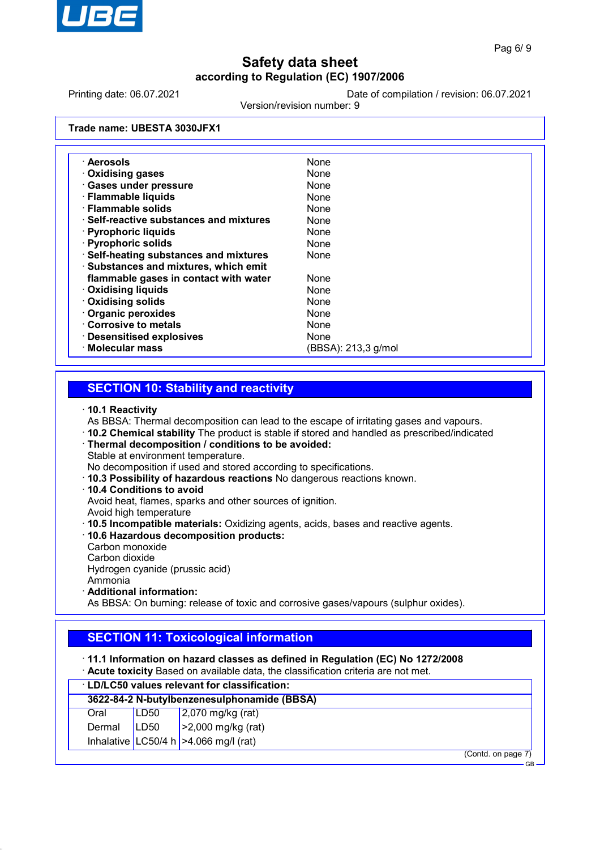

Printing date: 06.07.2021 Date of compilation / revision: 06.07.2021

Version/revision number: 9

**Trade name: UBESTA 3030JFX1**

| · Aerosols                                    | None                |
|-----------------------------------------------|---------------------|
| <b>Oxidising gases</b>                        | None                |
| <b>Gases under pressure</b>                   | <b>None</b>         |
| · Flammable liquids                           | <b>None</b>         |
| · Flammable solids                            | <b>None</b>         |
| $\cdot$ Self-reactive substances and mixtures | None                |
| · Pyrophoric liquids                          | None                |
| · Pyrophoric solids                           | None                |
| · Self-heating substances and mixtures        | None                |
| · Substances and mixtures, which emit         |                     |
| flammable gases in contact with water         | None                |
| <b>Oxidising liquids</b>                      | None                |
| <b>Oxidising solids</b>                       | None                |
| <b>Organic peroxides</b>                      | None                |
| Corrosive to metals                           | None                |
| · Desensitised explosives                     | None                |
| · Molecular mass                              | (BBSA): 213,3 g/mol |

### **SECTION 10: Stability and reactivity**

#### · **10.1 Reactivity**

- As BBSA: Thermal decomposition can lead to the escape of irritating gases and vapours.
- · **10.2 Chemical stability** The product is stable if stored and handled as prescribed/indicated
- · **Thermal decomposition / conditions to be avoided:** Stable at environment temperature.

No decomposition if used and stored according to specifications.

- · **10.3 Possibility of hazardous reactions** No dangerous reactions known.
- · **10.4 Conditions to avoid**

Avoid heat, flames, sparks and other sources of ignition.

- Avoid high temperature
- · **10.5 Incompatible materials:** Oxidizing agents, acids, bases and reactive agents.
- · **10.6 Hazardous decomposition products:**
- Carbon monoxide
- Carbon dioxide

Hydrogen cyanide (prussic acid)

- Ammonia
- · **Additional information:**

As BBSA: On burning: release of toxic and corrosive gases/vapours (sulphur oxides).

## **SECTION 11: Toxicological information**

- · **11.1 Information on hazard classes as defined in Regulation (EC) No 1272/2008**
- · **Acute toxicity** Based on available data, the classification criteria are not met.

|        | <b>LD/LC50 values relevant for classification:</b> |                                         |  |
|--------|----------------------------------------------------|-----------------------------------------|--|
|        | 3622-84-2 N-butylbenzenesulphonamide (BBSA)        |                                         |  |
| Oral   | LD50                                               | $2,070$ mg/kg (rat)                     |  |
| Dermal | LD50                                               | $\vert$ >2,000 mg/kg (rat)              |  |
|        |                                                    | Inhalative LC50/4 h $>4.066$ mg/l (rat) |  |
|        |                                                    | (Contd. on page 7)                      |  |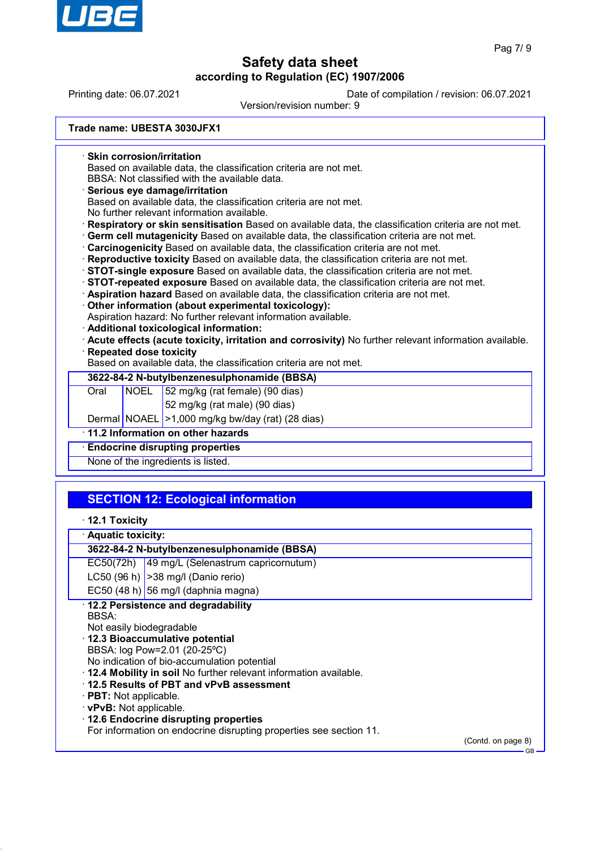

Printing date: 06.07.2021 Date of compilation / revision: 06.07.2021

Version/revision number: 9

**Trade name: UBESTA 3030JFX1**

· **Skin corrosion/irritation**

Based on available data, the classification criteria are not met.

BBSA: Not classified with the available data.

· **Serious eye damage/irritation**

Based on available data, the classification criteria are not met.

No further relevant information available.

- · **Respiratory or skin sensitisation** Based on available data, the classification criteria are not met.
- · **Germ cell mutagenicity** Based on available data, the classification criteria are not met.
- · **Carcinogenicity** Based on available data, the classification criteria are not met.
- · **Reproductive toxicity** Based on available data, the classification criteria are not met.
- · **STOT-single exposure** Based on available data, the classification criteria are not met.

· **STOT-repeated exposure** Based on available data, the classification criteria are not met.

- · **Aspiration hazard** Based on available data, the classification criteria are not met.
- · **Other information (about experimental toxicology):**
- Aspiration hazard: No further relevant information available.
- · **Additional toxicological information:**

· **Acute effects (acute toxicity, irritation and corrosivity)** No further relevant information available. · **Repeated dose toxicity**

Based on available data, the classification criteria are not met.

| 3622-84-2 N-butylbenzenesulphonamide (BBSA) |  |                                                            |
|---------------------------------------------|--|------------------------------------------------------------|
| Oral                                        |  | $\sqrt{180}$ NOEL $\sqrt{52}$ mg/kg (rat female) (90 dias) |
|                                             |  | 52 mg/kg (rat male) (90 dias)                              |
|                                             |  | Dermal NOAEL   > 1,000 mg/kg bw/day (rat) (28 dias)        |
| 11.2 Information on other hazards           |  |                                                            |
| <b>Endocrine disrupting properties</b>      |  |                                                            |
| None of the ingredients is listed.          |  |                                                            |

# **SECTION 12: Ecological information**

- · **12.1 Toxicity**
- · **Aquatic toxicity:**

## **3622-84-2 N-butylbenzenesulphonamide (BBSA)**

EC50(72h) 49 mg/L (Selenastrum capricornutum)

LC50 (96 h)  $|$  >38 mg/l (Danio rerio)

EC50 (48 h) 56 mg/l (daphnia magna)

· **12.2 Persistence and degradability** BBSA:

Not easily biodegradable · **12.3 Bioaccumulative potential**

BBSA: log Pow=2.01 (20-25ºC)

- No indication of bio-accumulation potential
- · **12.4 Mobility in soil** No further relevant information available.
- · **12.5 Results of PBT and vPvB assessment**
- · **PBT:** Not applicable.
- · **vPvB:** Not applicable.
- · **12.6 Endocrine disrupting properties**

For information on endocrine disrupting properties see section 11.

(Contd. on page 8)

GB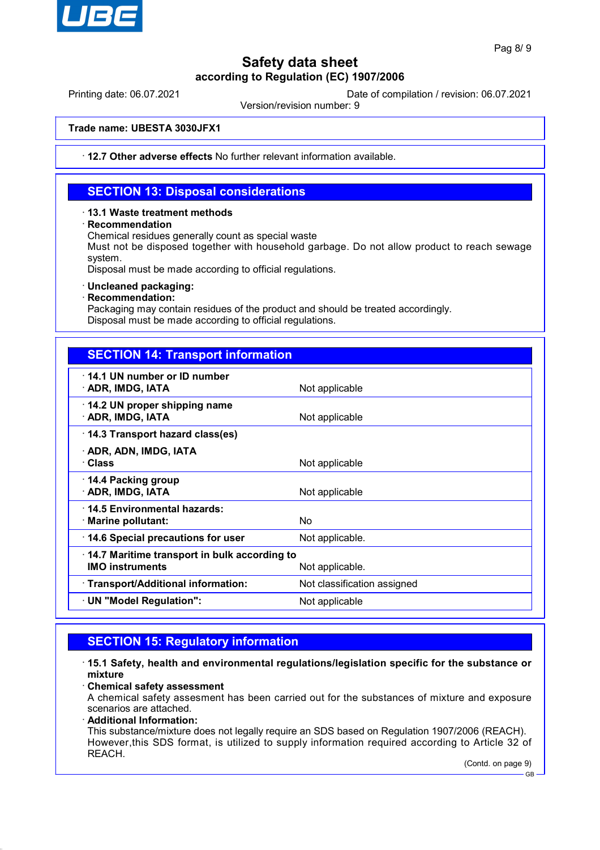

Printing date: 06.07.2021 Date of compilation / revision: 06.07.2021

Version/revision number: 9

**Trade name: UBESTA 3030JFX1**

· **12.7 Other adverse effects** No further relevant information available.

## **SECTION 13: Disposal considerations**

### · **13.1 Waste treatment methods**

· **Recommendation**

Chemical residues generally count as special waste

Must not be disposed together with household garbage. Do not allow product to reach sewage system.

Disposal must be made according to official regulations.

### · **Uncleaned packaging:**

· **Recommendation:**

Packaging may contain residues of the product and should be treated accordingly. Disposal must be made according to official regulations.

| <b>SECTION 14: Transport information</b>                                                  |                             |  |
|-------------------------------------------------------------------------------------------|-----------------------------|--|
| 14.1 UN number or ID number<br>· ADR, IMDG, IATA                                          | Not applicable              |  |
| 14.2 UN proper shipping name<br>· ADR, IMDG, IATA                                         | Not applicable              |  |
| 14.3 Transport hazard class(es)                                                           |                             |  |
| · ADR, ADN, IMDG, IATA<br>· Class                                                         | Not applicable              |  |
| 14.4 Packing group<br>· ADR, IMDG, IATA                                                   | Not applicable              |  |
| 14.5 Environmental hazards:<br>$\cdot$ Marine pollutant:                                  | <b>No</b>                   |  |
| 14.6 Special precautions for user                                                         | Not applicable.             |  |
| 14.7 Maritime transport in bulk according to<br><b>IMO instruments</b><br>Not applicable. |                             |  |
| · Transport/Additional information:                                                       | Not classification assigned |  |
| · UN "Model Regulation":                                                                  | Not applicable              |  |

## **SECTION 15: Regulatory information**

· **15.1 Safety, health and environmental regulations/legislation specific for the substance or mixture**

#### · **Chemical safety assessment**

A chemical safety assesment has been carried out for the substances of mixture and exposure scenarios are attached.

### · **Additional Information:**

This substance/mixture does not legally require an SDS based on Regulation 1907/2006 (REACH). However,this SDS format, is utilized to supply information required according to Article 32 of REACH.

(Contd. on page 9)

GB